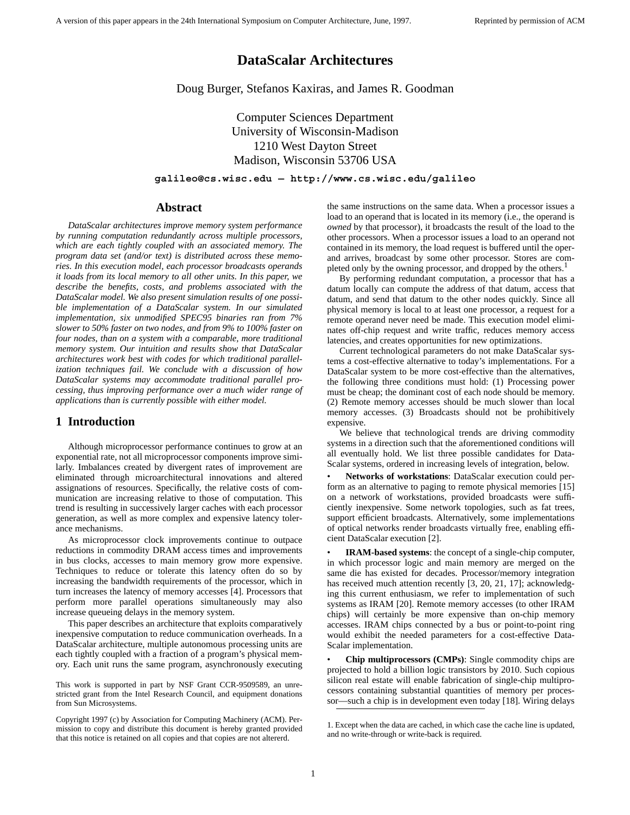# **DataScalar Architectures**

Doug Burger, Stefanos Kaxiras, and James R. Goodman

Computer Sciences Department University of Wisconsin-Madison 1210 West Dayton Street Madison, Wisconsin 53706 USA

**galileo@cs.wisc.edu — http://www.cs.wisc.edu/galileo**

# **Abstract**

*DataScalar architectures improve memory system performance by running computation redundantly across multiple processors, which are each tightly coupled with an associated memory. The program data set (and/or text) is distributed across these memories. In this execution model, each processor broadcasts operands it loads from its local memory to all other units. In this paper, we describe the benefits, costs, and problems associated with the DataScalar model. We also present simulation results of one possible implementation of a DataScalar system. In our simulated implementation, six unmodified SPEC95 binaries ran from 7% slower to 50% faster on two nodes, and from 9% to 100% faster on four nodes, than on a system with a comparable, more traditional memory system. Our intuition and results show that DataScalar architectures work best with codes for which traditional parallelization techniques fail. We conclude with a discussion of how DataScalar systems may accommodate traditional parallel processing, thus improving performance over a much wider range of applications than is currently possible with either model.*

# **1 Introduction**

Although microprocessor performance continues to grow at an exponential rate, not all microprocessor components improve similarly. Imbalances created by divergent rates of improvement are eliminated through microarchitectural innovations and altered assignations of resources. Specifically, the relative costs of communication are increasing relative to those of computation. This trend is resulting in successively larger caches with each processor generation, as well as more complex and expensive latency tolerance mechanisms.

As microprocessor clock improvements continue to outpace reductions in commodity DRAM access times and improvements in bus clocks, accesses to main memory grow more expensive. Techniques to reduce or tolerate this latency often do so by increasing the bandwidth requirements of the processor, which in turn increases the latency of memory accesses [4]. Processors that perform more parallel operations simultaneously may also increase queueing delays in the memory system.

This paper describes an architecture that exploits comparatively inexpensive computation to reduce communication overheads. In a DataScalar architecture, multiple autonomous processing units are each tightly coupled with a fraction of a program's physical memory. Each unit runs the same program, asynchronously executing

This work is supported in part by NSF Grant CCR-9509589, an unrestricted grant from the Intel Research Council, and equipment donations from Sun Microsystems.

Copyright 1997 (c) by Association for Computing Machinery (ACM). Permission to copy and distribute this document is hereby granted provided that this notice is retained on all copies and that copies are not altererd.

the same instructions on the same data. When a processor issues a load to an operand that is located in its memory (i.e., the operand is *owned* by that processor), it broadcasts the result of the load to the other processors. When a processor issues a load to an operand not contained in its memory, the load request is buffered until the operand arrives, broadcast by some other processor. Stores are completed only by the owning processor, and dropped by the others.<sup>1</sup>

By performing redundant computation, a processor that has a datum locally can compute the address of that datum, access that datum, and send that datum to the other nodes quickly. Since all physical memory is local to at least one processor, a request for a remote operand never need be made. This execution model eliminates off-chip request and write traffic, reduces memory access latencies, and creates opportunities for new optimizations.

Current technological parameters do not make DataScalar systems a cost-effective alternative to today's implementations. For a DataScalar system to be more cost-effective than the alternatives, the following three conditions must hold: (1) Processing power must be cheap; the dominant cost of each node should be memory. (2) Remote memory accesses should be much slower than local memory accesses. (3) Broadcasts should not be prohibitively expensive.

We believe that technological trends are driving commodity systems in a direction such that the aforementioned conditions will all eventually hold. We list three possible candidates for Data-Scalar systems, ordered in increasing levels of integration, below.

• **Networks of workstations**: DataScalar execution could perform as an alternative to paging to remote physical memories [15] on a network of workstations, provided broadcasts were sufficiently inexpensive. Some network topologies, such as fat trees, support efficient broadcasts. Alternatively, some implementations of optical networks render broadcasts virtually free, enabling efficient DataScalar execution [2].

• **IRAM-based systems**: the concept of a single-chip computer, in which processor logic and main memory are merged on the same die has existed for decades. Processor/memory integration has received much attention recently [3, 20, 21, 17]; acknowledging this current enthusiasm, we refer to implementation of such systems as IRAM [20]. Remote memory accesses (to other IRAM chips) will certainly be more expensive than on-chip memory accesses. IRAM chips connected by a bus or point-to-point ring would exhibit the needed parameters for a cost-effective Data-Scalar implementation.

• **Chip multiprocessors (CMPs)**: Single commodity chips are projected to hold a billion logic transistors by 2010. Such copious silicon real estate will enable fabrication of single-chip multiprocessors containing substantial quantities of memory per processor—such a chip is in development even today [18]. Wiring delays

<sup>1.</sup> Except when the data are cached, in which case the cache line is updated, and no write-through or write-back is required.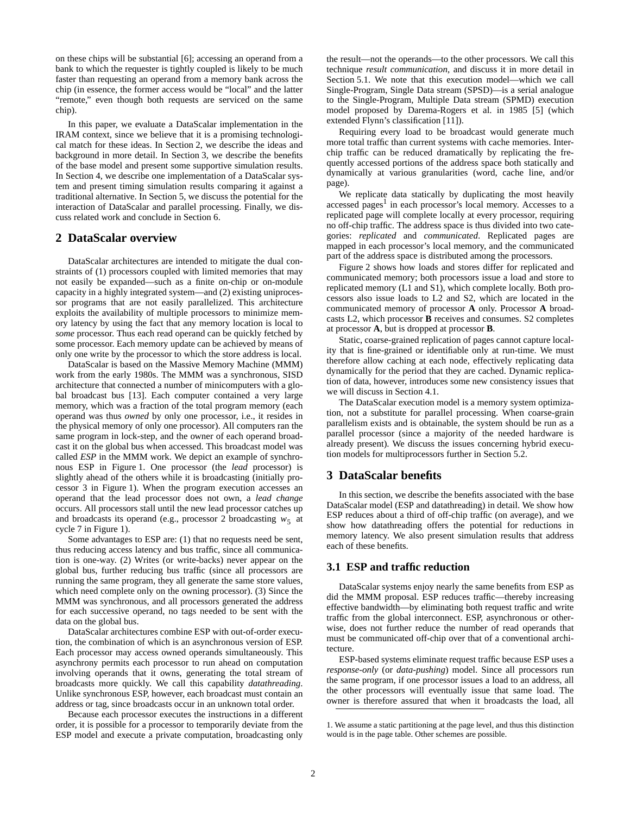on these chips will be substantial [6]; accessing an operand from a bank to which the requester is tightly coupled is likely to be much faster than requesting an operand from a memory bank across the chip (in essence, the former access would be "local" and the latter "remote," even though both requests are serviced on the same chip).

In this paper, we evaluate a DataScalar implementation in the IRAM context, since we believe that it is a promising technological match for these ideas. In Section 2, we describe the ideas and background in more detail. In Section 3, we describe the benefits of the base model and present some supportive simulation results. In Section 4, we describe one implementation of a DataScalar system and present timing simulation results comparing it against a traditional alternative. In Section 5, we discuss the potential for the interaction of DataScalar and parallel processing. Finally, we discuss related work and conclude in Section 6.

# **2 DataScalar overview**

DataScalar architectures are intended to mitigate the dual constraints of (1) processors coupled with limited memories that may not easily be expanded—such as a finite on-chip or on-module capacity in a highly integrated system—and (2) existing uniprocessor programs that are not easily parallelized. This architecture exploits the availability of multiple processors to minimize memory latency by using the fact that any memory location is local to *some* processor. Thus each read operand can be quickly fetched by some processor. Each memory update can be achieved by means of only one write by the processor to which the store address is local.

DataScalar is based on the Massive Memory Machine (MMM) work from the early 1980s. The MMM was a synchronous, SISD architecture that connected a number of minicomputers with a global broadcast bus [13]. Each computer contained a very large memory, which was a fraction of the total program memory (each operand was thus *owned* by only one processor, i.e., it resides in the physical memory of only one processor). All computers ran the same program in lock-step, and the owner of each operand broadcast it on the global bus when accessed. This broadcast model was called *ESP* in the MMM work. We depict an example of synchronous ESP in Figure 1. One processor (the *lead* processor) is slightly ahead of the others while it is broadcasting (initially processor 3 in Figure 1). When the program execution accesses an operand that the lead processor does not own, a *lead change* occurs. All processors stall until the new lead processor catches up and broadcasts its operand (e.g., processor 2 broadcasting  $w_5$  at cycle 7 in Figure 1).

Some advantages to ESP are: (1) that no requests need be sent, thus reducing access latency and bus traffic, since all communication is one-way. (2) Writes (or write-backs) never appear on the global bus, further reducing bus traffic (since all processors are running the same program, they all generate the same store values, which need complete only on the owning processor). (3) Since the MMM was synchronous, and all processors generated the address for each successive operand, no tags needed to be sent with the data on the global bus.

DataScalar architectures combine ESP with out-of-order execution, the combination of which is an asynchronous version of ESP. Each processor may access owned operands simultaneously. This asynchrony permits each processor to run ahead on computation involving operands that it owns, generating the total stream of broadcasts more quickly. We call this capability *datathreading*. Unlike synchronous ESP, however, each broadcast must contain an address or tag, since broadcasts occur in an unknown total order.

Because each processor executes the instructions in a different order, it is possible for a processor to temporarily deviate from the ESP model and execute a private computation, broadcasting only

the result—not the operands—to the other processors. We call this technique *result communication*, and discuss it in more detail in Section 5.1. We note that this execution model—which we call Single-Program, Single Data stream (SPSD)—is a serial analogue to the Single-Program, Multiple Data stream (SPMD) execution model proposed by Darema-Rogers et al. in 1985 [5] (which extended Flynn's classification [11]).

Requiring every load to be broadcast would generate much more total traffic than current systems with cache memories. Interchip traffic can be reduced dramatically by replicating the frequently accessed portions of the address space both statically and dynamically at various granularities (word, cache line, and/or page).

We replicate data statically by duplicating the most heavily  $\arccases$   $\arccases$ <sup>1</sup> in each processor's local memory. Accesses to a replicated page will complete locally at every processor, requiring no off-chip traffic. The address space is thus divided into two categories: *replicated* and *communicated*. Replicated pages are mapped in each processor's local memory, and the communicated part of the address space is distributed among the processors.

Figure 2 shows how loads and stores differ for replicated and communicated memory; both processors issue a load and store to replicated memory (L1 and S1), which complete locally. Both processors also issue loads to L2 and S2, which are located in the communicated memory of processor **A** only. Processor **A** broadcasts L2, which processor **B** receives and consumes. S2 completes at processor **A**, but is dropped at processor **B**.

Static, coarse-grained replication of pages cannot capture locality that is fine-grained or identifiable only at run-time. We must therefore allow caching at each node, effectively replicating data dynamically for the period that they are cached. Dynamic replication of data, however, introduces some new consistency issues that we will discuss in Section 4.1.

The DataScalar execution model is a memory system optimization, not a substitute for parallel processing. When coarse-grain parallelism exists and is obtainable, the system should be run as a parallel processor (since a majority of the needed hardware is already present). We discuss the issues concerning hybrid execution models for multiprocessors further in Section 5.2.

# **3 DataScalar benefits**

In this section, we describe the benefits associated with the base DataScalar model (ESP and datathreading) in detail. We show how ESP reduces about a third of off-chip traffic (on average), and we show how datathreading offers the potential for reductions in memory latency. We also present simulation results that address each of these benefits.

# **3.1 ESP and traffic reduction**

DataScalar systems enjoy nearly the same benefits from ESP as did the MMM proposal. ESP reduces traffic—thereby increasing effective bandwidth—by eliminating both request traffic and write traffic from the global interconnect. ESP, asynchronous or otherwise, does not further reduce the number of read operands that must be communicated off-chip over that of a conventional architecture.

ESP-based systems eliminate request traffic because ESP uses a *response-only* (or *data-pushing*) model. Since all processors run the same program, if one processor issues a load to an address, all the other processors will eventually issue that same load. The owner is therefore assured that when it broadcasts the load, all

<sup>1.</sup> We assume a static partitioning at the page level, and thus this distinction would is in the page table. Other schemes are possible.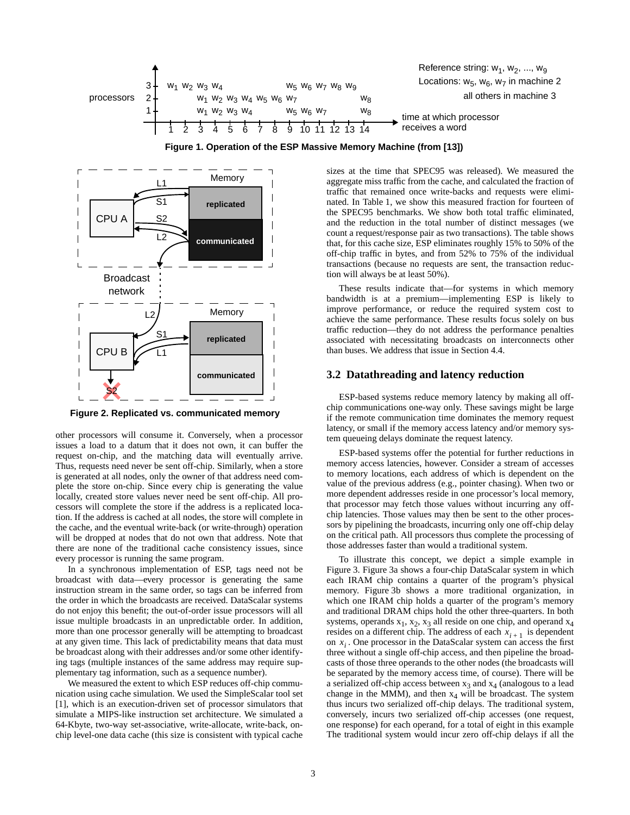



**Figure 1. Operation of the ESP Massive Memory Machine (from [13])**

sizes at the time that SPEC95 was released). We measured the aggregate miss traffic from the cache, and calculated the fraction of traffic that remained once write-backs and requests were eliminated. In Table 1, we show this measured fraction for fourteen of the SPEC95 benchmarks. We show both total traffic eliminated, and the reduction in the total number of distinct messages (we count a request/response pair as two transactions). The table shows that, for this cache size, ESP eliminates roughly 15% to 50% of the off-chip traffic in bytes, and from 52% to 75% of the individual transactions (because no requests are sent, the transaction reduction will always be at least 50%).

These results indicate that—for systems in which memory bandwidth is at a premium—implementing ESP is likely to improve performance, or reduce the required system cost to achieve the same performance. These results focus solely on bus traffic reduction—they do not address the performance penalties associated with necessitating broadcasts on interconnects other than buses. We address that issue in Section 4.4.

#### **3.2 Datathreading and latency reduction**

ESP-based systems reduce memory latency by making all offchip communications one-way only. These savings might be large if the remote communication time dominates the memory request latency, or small if the memory access latency and/or memory system queueing delays dominate the request latency.

ESP-based systems offer the potential for further reductions in memory access latencies, however. Consider a stream of accesses to memory locations, each address of which is dependent on the value of the previous address (e.g., pointer chasing). When two or more dependent addresses reside in one processor's local memory, that processor may fetch those values without incurring any offchip latencies. Those values may then be sent to the other processors by pipelining the broadcasts, incurring only one off-chip delay on the critical path. All processors thus complete the processing of those addresses faster than would a traditional system.

To illustrate this concept, we depict a simple example in Figure 3. Figure 3a shows a four-chip DataScalar system in which each IRAM chip contains a quarter of the program's physical memory. Figure 3b shows a more traditional organization, in which one IRAM chip holds a quarter of the program's memory and traditional DRAM chips hold the other three-quarters. In both systems, operands  $x_1$ ,  $x_2$ ,  $x_3$  all reside on one chip, and operand  $x_4$ resides on a different chip. The address of each  $x_{i+1}$  is dependent on  $x_i$ . One processor in the DataScalar system can access the first three without a single off-chip access, and then pipeline the broadcasts of those three operands to the other nodes (the broadcasts will be separated by the memory access time, of course). There will be a serialized off-chip access between  $x_3$  and  $x_4$  (analogous to a lead change in the MMM), and then  $x_4$  will be broadcast. The system thus incurs two serialized off-chip delays. The traditional system, conversely, incurs two serialized off-chip accesses (one request, one response) for each operand, for a total of eight in this example The traditional system would incur zero off-chip delays if all the

**Figure 2. Replicated vs. communicated memory**

other processors will consume it. Conversely, when a processor issues a load to a datum that it does not own, it can buffer the request on-chip, and the matching data will eventually arrive. Thus, requests need never be sent off-chip. Similarly, when a store is generated at all nodes, only the owner of that address need complete the store on-chip. Since every chip is generating the value locally, created store values never need be sent off-chip. All processors will complete the store if the address is a replicated location. If the address is cached at all nodes, the store will complete in the cache, and the eventual write-back (or write-through) operation will be dropped at nodes that do not own that address. Note that there are none of the traditional cache consistency issues, since every processor is running the same program.

In a synchronous implementation of ESP, tags need not be broadcast with data—every processor is generating the same instruction stream in the same order, so tags can be inferred from the order in which the broadcasts are received. DataScalar systems do not enjoy this benefit; the out-of-order issue processors will all issue multiple broadcasts in an unpredictable order. In addition, more than one processor generally will be attempting to broadcast at any given time. This lack of predictability means that data must be broadcast along with their addresses and/or some other identifying tags (multiple instances of the same address may require supplementary tag information, such as a sequence number).

We measured the extent to which ESP reduces off-chip communication using cache simulation. We used the SimpleScalar tool set [1], which is an execution-driven set of processor simulators that simulate a MIPS-like instruction set architecture. We simulated a 64-Kbyte, two-way set-associative, write-allocate, write-back, onchip level-one data cache (this size is consistent with typical cache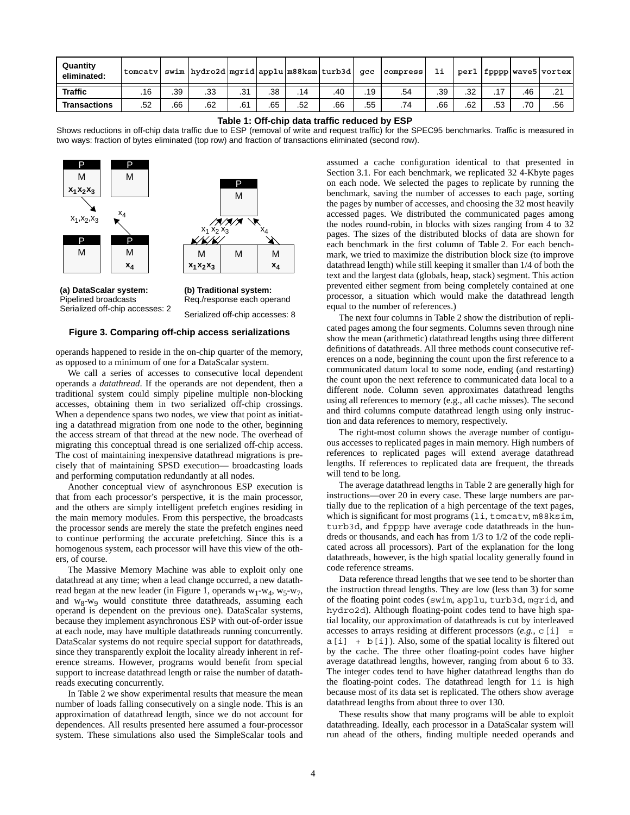| Quantity<br>eliminated: | tomcaty |     | swim   hydro2d   mgrid   applu   m88ksm   turb3d |     |     |     |     | acc | compress | li  |     |     |     | perl   fpppp   wave5   vortex |
|-------------------------|---------|-----|--------------------------------------------------|-----|-----|-----|-----|-----|----------|-----|-----|-----|-----|-------------------------------|
| <b>Traffic</b>          | .16     | .39 | .33                                              | .31 | .38 | .14 | .40 | .19 | .54      | .39 | .32 | 17  | .46 | .21                           |
| <b>Transactions</b>     | .52     | .66 | .62                                              | .61 | .65 | .52 | .66 | .55 | .74      | .66 | .62 | .53 | .70 | .56                           |

#### **Table 1: Off-chip data traffic reduced by ESP**

Shows reductions in off-chip data traffic due to ESP (removal of write and request traffic) for the SPEC95 benchmarks. Traffic is measured in two ways: fraction of bytes eliminated (top row) and fraction of transactions eliminated (second row).





operands happened to reside in the on-chip quarter of the memory, as opposed to a minimum of one for a DataScalar system.

We call a series of accesses to consecutive local dependent operands a *datathread*. If the operands are not dependent, then a traditional system could simply pipeline multiple non-blocking accesses, obtaining them in two serialized off-chip crossings. When a dependence spans two nodes, we view that point as initiating a datathread migration from one node to the other, beginning the access stream of that thread at the new node. The overhead of migrating this conceptual thread is one serialized off-chip access. The cost of maintaining inexpensive datathread migrations is precisely that of maintaining SPSD execution— broadcasting loads and performing computation redundantly at all nodes.

Another conceptual view of asynchronous ESP execution is that from each processor's perspective, it is the main processor, and the others are simply intelligent prefetch engines residing in the main memory modules. From this perspective, the broadcasts the processor sends are merely the state the prefetch engines need to continue performing the accurate prefetching. Since this is a homogenous system, each processor will have this view of the others, of course.

The Massive Memory Machine was able to exploit only one datathread at any time; when a lead change occurred, a new datathread began at the new leader (in Figure 1, operands  $w_1-w_4$ ,  $w_5-w_7$ , and  $w_8-w_9$  would constitute three datathreads, assuming each operand is dependent on the previous one). DataScalar systems, because they implement asynchronous ESP with out-of-order issue at each node, may have multiple datathreads running concurrently. DataScalar systems do not require special support for datathreads, since they transparently exploit the locality already inherent in reference streams. However, programs would benefit from special support to increase datathread length or raise the number of datathreads executing concurrently.

In Table 2 we show experimental results that measure the mean number of loads falling consecutively on a single node. This is an approximation of datathread length, since we do not account for dependences. All results presented here assumed a four-processor system. These simulations also used the SimpleScalar tools and

assumed a cache configuration identical to that presented in Section 3.1. For each benchmark, we replicated 32 4-Kbyte pages on each node. We selected the pages to replicate by running the benchmark, saving the number of accesses to each page, sorting the pages by number of accesses, and choosing the 32 most heavily accessed pages. We distributed the communicated pages among the nodes round-robin, in blocks with sizes ranging from 4 to 32 pages. The sizes of the distributed blocks of data are shown for each benchmark in the first column of Table 2. For each benchmark, we tried to maximize the distribution block size (to improve datathread length) while still keeping it smaller than 1/4 of both the text and the largest data (globals, heap, stack) segment. This action prevented either segment from being completely contained at one processor, a situation which would make the datathread length equal to the number of references.)

The next four columns in Table 2 show the distribution of replicated pages among the four segments. Columns seven through nine show the mean (arithmetic) datathread lengths using three different definitions of datathreads. All three methods count consecutive references on a node, beginning the count upon the first reference to a communicated datum local to some node, ending (and restarting) the count upon the next reference to communicated data local to a different node. Column seven approximates datathread lengths using all references to memory (e.g., all cache misses). The second and third columns compute datathread length using only instruction and data references to memory, respectively.

The right-most column shows the average number of contiguous accesses to replicated pages in main memory. High numbers of references to replicated pages will extend average datathread lengths. If references to replicated data are frequent, the threads will tend to be long.

The average datathread lengths in Table 2 are generally high for instructions—over 20 in every case. These large numbers are partially due to the replication of a high percentage of the text pages, which is significant for most programs (li, tomcatv, m88ksim, turb3d, and fpppp have average code datathreads in the hundreds or thousands, and each has from 1/3 to 1/2 of the code replicated across all processors). Part of the explanation for the long datathreads, however, is the high spatial locality generally found in code reference streams.

Data reference thread lengths that we see tend to be shorter than the instruction thread lengths. They are low (less than 3) for some of the floating point codes (swim, applu, turb3d, mgrid, and hydro2d). Although floating-point codes tend to have high spatial locality, our approximation of datathreads is cut by interleaved accesses to arrays residing at different processors  $(e.g., c[i] =$  $a[i]$  + b[i]). Also, some of the spatial locality is filtered out by the cache. The three other floating-point codes have higher average datathread lengths, however, ranging from about 6 to 33. The integer codes tend to have higher datathread lengths than do the floating-point codes. The datathread length for li is high because most of its data set is replicated. The others show average datathread lengths from about three to over 130.

These results show that many programs will be able to exploit datathreading. Ideally, each processor in a DataScalar system will run ahead of the others, finding multiple needed operands and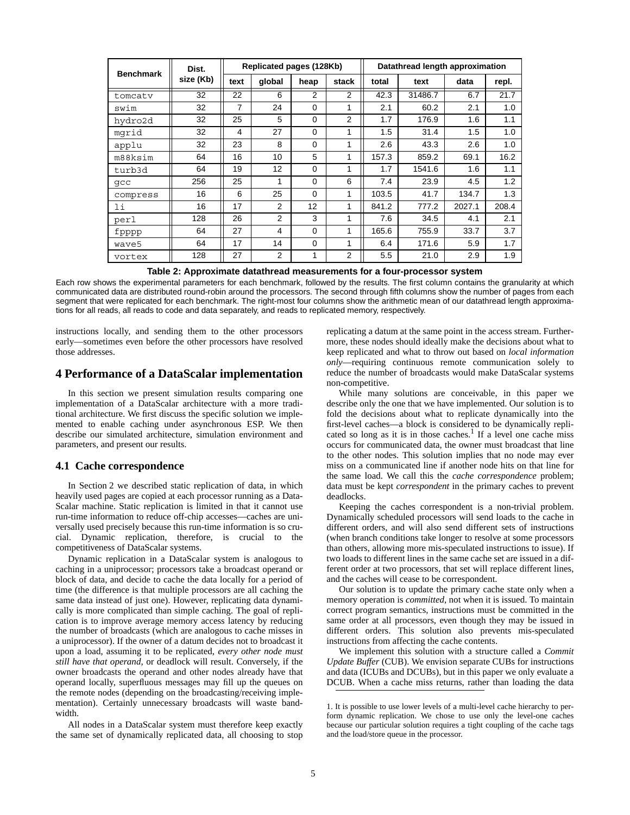| <b>Benchmark</b> | Dist.     |      | Replicated pages (128Kb) |          |                | Datathread length approximation |         |        |       |  |
|------------------|-----------|------|--------------------------|----------|----------------|---------------------------------|---------|--------|-------|--|
|                  | size (Kb) | text | global                   | heap     | stack          | total                           | text    | data   | repl. |  |
| tomcaty          | 32        | 22   | 6                        | 2        | $\mathfrak{p}$ | 42.3                            | 31486.7 | 6.7    | 21.7  |  |
| swim             | 32        | 7    | 24                       | $\Omega$ | 1              | 2.1                             | 60.2    | 2.1    | 1.0   |  |
| hydro2d          | 32        | 25   | 5                        | 0        | 2              | 1.7                             | 176.9   | 1.6    | 1.1   |  |
| mqrid            | 32        | 4    | 27                       | 0        | 1              | 1.5                             | 31.4    | 1.5    | 1.0   |  |
| applu            | 32        | 23   | 8                        | 0        | 1              | 2.6                             | 43.3    | 2.6    | 1.0   |  |
| m88ksim          | 64        | 16   | 10                       | 5        | 1              | 157.3                           | 859.2   | 69.1   | 16.2  |  |
| turb3d           | 64        | 19   | 12                       | 0        | 1              | 1.7                             | 1541.6  | 1.6    | 1.1   |  |
| qcc              | 256       | 25   | 1                        | 0        | 6              | 7.4                             | 23.9    | 4.5    | 1.2   |  |
| compress         | 16        | 6    | 25                       | $\Omega$ | 1              | 103.5                           | 41.7    | 134.7  | 1.3   |  |
| li               | 16        | 17   | 2                        | 12       | 1              | 841.2                           | 777.2   | 2027.1 | 208.4 |  |
| perl             | 128       | 26   | 2                        | 3        | 1              | 7.6                             | 34.5    | 4.1    | 2.1   |  |
| fpppp            | 64        | 27   | 4                        | 0        | 1              | 165.6                           | 755.9   | 33.7   | 3.7   |  |
| wave5            | 64        | 17   | 14                       | $\Omega$ | 1              | 6.4                             | 171.6   | 5.9    | 1.7   |  |
| vortex           | 128       | 27   | 2                        | 1        | 2              | 5.5                             | 21.0    | 2.9    | 1.9   |  |

#### **Table 2: Approximate datathread measurements for a four-processor system**

Each row shows the experimental parameters for each benchmark, followed by the results. The first column contains the granularity at which communicated data are distributed round-robin around the processors. The second through fifth columns show the number of pages from each segment that were replicated for each benchmark. The right-most four columns show the arithmetic mean of our datathread length approximations for all reads, all reads to code and data separately, and reads to replicated memory, respectively.

instructions locally, and sending them to the other processors early—sometimes even before the other processors have resolved those addresses.

# **4 Performance of a DataScalar implementation**

In this section we present simulation results comparing one implementation of a DataScalar architecture with a more traditional architecture. We first discuss the specific solution we implemented to enable caching under asynchronous ESP. We then describe our simulated architecture, simulation environment and parameters, and present our results.

### **4.1 Cache correspondence**

In Section 2 we described static replication of data, in which heavily used pages are copied at each processor running as a Data-Scalar machine. Static replication is limited in that it cannot use run-time information to reduce off-chip accesses—caches are universally used precisely because this run-time information is so crucial. Dynamic replication, therefore, is crucial to the competitiveness of DataScalar systems.

Dynamic replication in a DataScalar system is analogous to caching in a uniprocessor; processors take a broadcast operand or block of data, and decide to cache the data locally for a period of time (the difference is that multiple processors are all caching the same data instead of just one). However, replicating data dynamically is more complicated than simple caching. The goal of replication is to improve average memory access latency by reducing the number of broadcasts (which are analogous to cache misses in a uniprocessor). If the owner of a datum decides not to broadcast it upon a load, assuming it to be replicated, *every other node must still have that operand*, or deadlock will result. Conversely, if the owner broadcasts the operand and other nodes already have that operand locally, superfluous messages may fill up the queues on the remote nodes (depending on the broadcasting/receiving implementation). Certainly unnecessary broadcasts will waste bandwidth.

All nodes in a DataScalar system must therefore keep exactly the same set of dynamically replicated data, all choosing to stop

replicating a datum at the same point in the access stream. Furthermore, these nodes should ideally make the decisions about what to keep replicated and what to throw out based on *local information only*—requiring continuous remote communication solely to reduce the number of broadcasts would make DataScalar systems non-competitive.

While many solutions are conceivable, in this paper we describe only the one that we have implemented. Our solution is to fold the decisions about what to replicate dynamically into the first-level caches—a block is considered to be dynamically replicated so long as it is in those caches.<sup>1</sup> If a level one cache miss occurs for communicated data, the owner must broadcast that line to the other nodes. This solution implies that no node may ever miss on a communicated line if another node hits on that line for the same load. We call this the *cache correspondence* problem; data must be kept *correspondent* in the primary caches to prevent deadlocks.

Keeping the caches correspondent is a non-trivial problem. Dynamically scheduled processors will send loads to the cache in different orders, and will also send different sets of instructions (when branch conditions take longer to resolve at some processors than others, allowing more mis-speculated instructions to issue). If two loads to different lines in the same cache set are issued in a different order at two processors, that set will replace different lines, and the caches will cease to be correspondent.

Our solution is to update the primary cache state only when a memory operation is *committed*, not when it is issued. To maintain correct program semantics, instructions must be committed in the same order at all processors, even though they may be issued in different orders. This solution also prevents mis-speculated instructions from affecting the cache contents.

We implement this solution with a structure called a *Commit Update Buffer* (CUB). We envision separate CUBs for instructions and data (ICUBs and DCUBs), but in this paper we only evaluate a DCUB. When a cache miss returns, rather than loading the data

<sup>1.</sup> It is possible to use lower levels of a multi-level cache hierarchy to perform dynamic replication. We chose to use only the level-one caches because our particular solution requires a tight coupling of the cache tags and the load/store queue in the processor.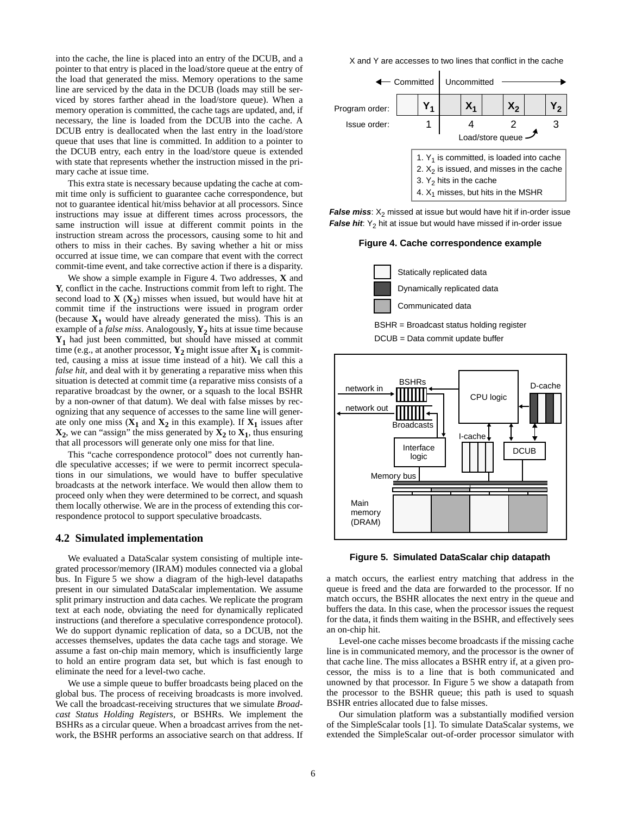into the cache, the line is placed into an entry of the DCUB, and a pointer to that entry is placed in the load/store queue at the entry of the load that generated the miss. Memory operations to the same line are serviced by the data in the DCUB (loads may still be serviced by stores farther ahead in the load/store queue). When a memory operation is committed, the cache tags are updated, and, if necessary, the line is loaded from the DCUB into the cache. A DCUB entry is deallocated when the last entry in the load/store queue that uses that line is committed. In addition to a pointer to the DCUB entry, each entry in the load/store queue is extended with state that represents whether the instruction missed in the primary cache at issue time.

This extra state is necessary because updating the cache at commit time only is sufficient to guarantee cache correspondence, but not to guarantee identical hit/miss behavior at all processors. Since instructions may issue at different times across processors, the same instruction will issue at different commit points in the instruction stream across the processors, causing some to hit and others to miss in their caches. By saving whether a hit or miss occurred at issue time, we can compare that event with the correct commit-time event, and take corrective action if there is a disparity.

We show a simple example in Figure 4. Two addresses, **X** and **Y**, conflict in the cache. Instructions commit from left to right. The second load to  $X(X_2)$  misses when issued, but would have hit at commit time if the instructions were issued in program order (because  $X_1$  would have already generated the miss). This is an example of a *false miss*. Analogously, **Y2** hits at issue time because **Y1** had just been committed, but should have missed at commit time (e.g., at another processor,  $Y_2$  might issue after  $X_1$  is committed, causing a miss at issue time instead of a hit). We call this a *false hit*, and deal with it by generating a reparative miss when this situation is detected at commit time (a reparative miss consists of a reparative broadcast by the owner, or a squash to the local BSHR by a non-owner of that datum). We deal with false misses by recognizing that any sequence of accesses to the same line will generate only one miss  $(X_1$  and  $X_2$  in this example). If  $X_1$  issues after  $X_2$ , we can "assign" the miss generated by  $\bar{X}_2$  to  $X_1$ , thus ensuring that all processors will generate only one miss for that line.

This "cache correspondence protocol" does not currently handle speculative accesses; if we were to permit incorrect speculations in our simulations, we would have to buffer speculative broadcasts at the network interface. We would then allow them to proceed only when they were determined to be correct, and squash them locally otherwise. We are in the process of extending this correspondence protocol to support speculative broadcasts.

### **4.2 Simulated implementation**

We evaluated a DataScalar system consisting of multiple integrated processor/memory (IRAM) modules connected via a global bus. In Figure 5 we show a diagram of the high-level datapaths present in our simulated DataScalar implementation. We assume split primary instruction and data caches. We replicate the program text at each node, obviating the need for dynamically replicated instructions (and therefore a speculative correspondence protocol). We do support dynamic replication of data, so a DCUB, not the accesses themselves, updates the data cache tags and storage. We assume a fast on-chip main memory, which is insufficiently large to hold an entire program data set, but which is fast enough to eliminate the need for a level-two cache.

We use a simple queue to buffer broadcasts being placed on the global bus. The process of receiving broadcasts is more involved. We call the broadcast-receiving structures that we simulate *Broadcast Status Holding Registers*, or BSHRs. We implement the BSHRs as a circular queue. When a broadcast arrives from the network, the BSHR performs an associative search on that address. If X and Y are accesses to two lines that conflict in the cache



**False miss:**  $X_2$  missed at issue but would have hit if in-order issue **False hit:** Y<sub>2</sub> hit at issue but would have missed if in-order issue

#### **Figure 4. Cache correspondence example**

Statically replicated data

Dynamically replicated data

Communicated data

BSHR = Broadcast status holding register

DCUB = Data commit update buffer



**Figure 5. Simulated DataScalar chip datapath**

a match occurs, the earliest entry matching that address in the queue is freed and the data are forwarded to the processor. If no match occurs, the BSHR allocates the next entry in the queue and buffers the data. In this case, when the processor issues the request for the data, it finds them waiting in the BSHR, and effectively sees an on-chip hit.

Level-one cache misses become broadcasts if the missing cache line is in communicated memory, and the processor is the owner of that cache line. The miss allocates a BSHR entry if, at a given processor, the miss is to a line that is both communicated and unowned by that processor. In Figure 5 we show a datapath from the processor to the BSHR queue; this path is used to squash BSHR entries allocated due to false misses.

Our simulation platform was a substantially modified version of the SimpleScalar tools [1]. To simulate DataScalar systems, we extended the SimpleScalar out-of-order processor simulator with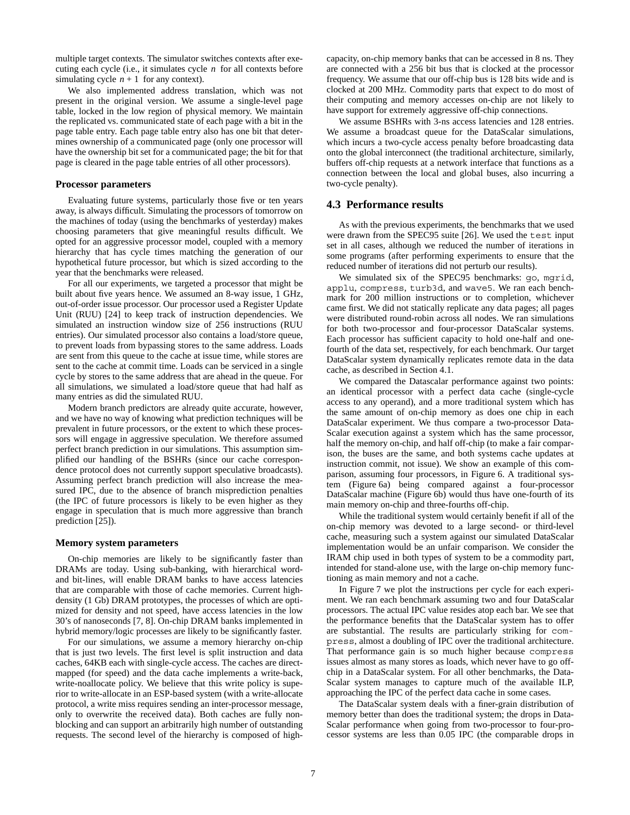multiple target contexts. The simulator switches contexts after executing each cycle (i.e., it simulates cycle  $n$  for all contexts before simulating cycle  $n + 1$  for any context).

We also implemented address translation, which was not present in the original version. We assume a single-level page table, locked in the low region of physical memory. We maintain the replicated vs. communicated state of each page with a bit in the page table entry. Each page table entry also has one bit that determines ownership of a communicated page (only one processor will have the ownership bit set for a communicated page; the bit for that page is cleared in the page table entries of all other processors).

#### **Processor parameters**

Evaluating future systems, particularly those five or ten years away, is always difficult. Simulating the processors of tomorrow on the machines of today (using the benchmarks of yesterday) makes choosing parameters that give meaningful results difficult. We opted for an aggressive processor model, coupled with a memory hierarchy that has cycle times matching the generation of our hypothetical future processor, but which is sized according to the year that the benchmarks were released.

For all our experiments, we targeted a processor that might be built about five years hence. We assumed an 8-way issue, 1 GHz, out-of-order issue processor. Our processor used a Register Update Unit (RUU) [24] to keep track of instruction dependencies. We simulated an instruction window size of 256 instructions (RUU entries). Our simulated processor also contains a load/store queue, to prevent loads from bypassing stores to the same address. Loads are sent from this queue to the cache at issue time, while stores are sent to the cache at commit time. Loads can be serviced in a single cycle by stores to the same address that are ahead in the queue. For all simulations, we simulated a load/store queue that had half as many entries as did the simulated RUU.

Modern branch predictors are already quite accurate, however, and we have no way of knowing what prediction techniques will be prevalent in future processors, or the extent to which these processors will engage in aggressive speculation. We therefore assumed perfect branch prediction in our simulations. This assumption simplified our handling of the BSHRs (since our cache correspondence protocol does not currently support speculative broadcasts). Assuming perfect branch prediction will also increase the measured IPC, due to the absence of branch misprediction penalties (the IPC of future processors is likely to be even higher as they engage in speculation that is much more aggressive than branch prediction [25]).

#### **Memory system parameters**

On-chip memories are likely to be significantly faster than DRAMs are today. Using sub-banking, with hierarchical wordand bit-lines, will enable DRAM banks to have access latencies that are comparable with those of cache memories. Current highdensity (1 Gb) DRAM prototypes, the processes of which are optimized for density and not speed, have access latencies in the low 30's of nanoseconds [7, 8]. On-chip DRAM banks implemented in hybrid memory/logic processes are likely to be significantly faster.

For our simulations, we assume a memory hierarchy on-chip that is just two levels. The first level is split instruction and data caches, 64KB each with single-cycle access. The caches are directmapped (for speed) and the data cache implements a write-back, write-noallocate policy. We believe that this write policy is superior to write-allocate in an ESP-based system (with a write-allocate protocol, a write miss requires sending an inter-processor message, only to overwrite the received data). Both caches are fully nonblocking and can support an arbitrarily high number of outstanding requests. The second level of the hierarchy is composed of high-

capacity, on-chip memory banks that can be accessed in 8 ns. They are connected with a 256 bit bus that is clocked at the processor frequency. We assume that our off-chip bus is 128 bits wide and is clocked at 200 MHz. Commodity parts that expect to do most of their computing and memory accesses on-chip are not likely to have support for extremely aggressive off-chip connections.

We assume BSHRs with 3-ns access latencies and 128 entries. We assume a broadcast queue for the DataScalar simulations, which incurs a two-cycle access penalty before broadcasting data onto the global interconnect (the traditional architecture, similarly, buffers off-chip requests at a network interface that functions as a connection between the local and global buses, also incurring a two-cycle penalty).

# **4.3 Performance results**

As with the previous experiments, the benchmarks that we used were drawn from the SPEC95 suite [26]. We used the test input set in all cases, although we reduced the number of iterations in some programs (after performing experiments to ensure that the reduced number of iterations did not perturb our results).

We simulated six of the SPEC95 benchmarks: go, mgrid, applu, compress, turb3d, and wave5. We ran each benchmark for 200 million instructions or to completion, whichever came first. We did not statically replicate any data pages; all pages were distributed round-robin across all nodes. We ran simulations for both two-processor and four-processor DataScalar systems. Each processor has sufficient capacity to hold one-half and onefourth of the data set, respectively, for each benchmark. Our target DataScalar system dynamically replicates remote data in the data cache, as described in Section 4.1.

We compared the Datascalar performance against two points: an identical processor with a perfect data cache (single-cycle access to any operand), and a more traditional system which has the same amount of on-chip memory as does one chip in each DataScalar experiment. We thus compare a two-processor Data-Scalar execution against a system which has the same processor, half the memory on-chip, and half off-chip (to make a fair comparison, the buses are the same, and both systems cache updates at instruction commit, not issue). We show an example of this comparison, assuming four processors, in Figure 6. A traditional system (Figure 6a) being compared against a four-processor DataScalar machine (Figure 6b) would thus have one-fourth of its main memory on-chip and three-fourths off-chip.

While the traditional system would certainly benefit if all of the on-chip memory was devoted to a large second- or third-level cache, measuring such a system against our simulated DataScalar implementation would be an unfair comparison. We consider the IRAM chip used in both types of system to be a commodity part, intended for stand-alone use, with the large on-chip memory functioning as main memory and not a cache.

In Figure 7 we plot the instructions per cycle for each experiment. We ran each benchmark assuming two and four DataScalar processors. The actual IPC value resides atop each bar. We see that the performance benefits that the DataScalar system has to offer are substantial. The results are particularly striking for compress, almost a doubling of IPC over the traditional architecture. That performance gain is so much higher because compress issues almost as many stores as loads, which never have to go offchip in a DataScalar system. For all other benchmarks, the Data-Scalar system manages to capture much of the available ILP, approaching the IPC of the perfect data cache in some cases.

The DataScalar system deals with a finer-grain distribution of memory better than does the traditional system; the drops in Data-Scalar performance when going from two-processor to four-processor systems are less than 0.05 IPC (the comparable drops in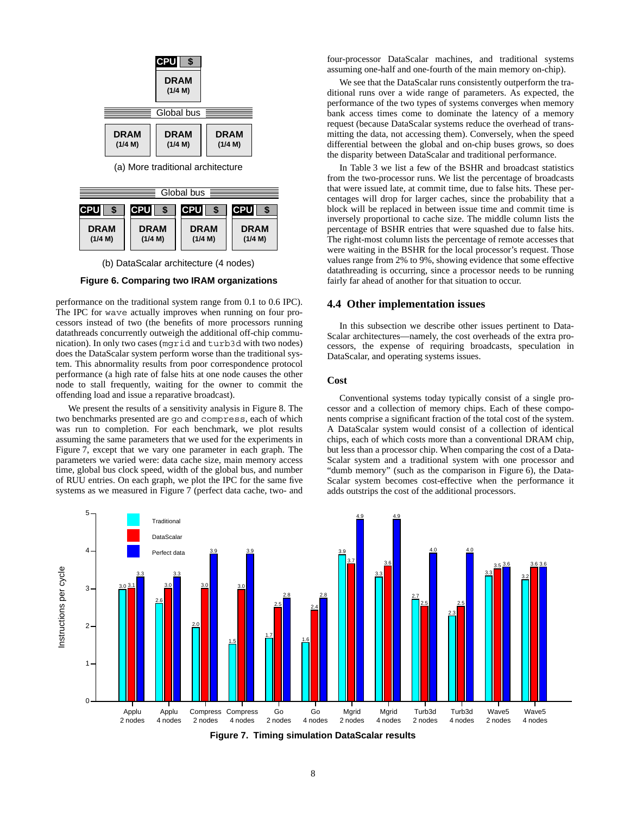

(a) More traditional architecture

| Global bus             |                        |                        |                        |  |  |  |  |  |
|------------------------|------------------------|------------------------|------------------------|--|--|--|--|--|
| <b>CPU</b>             | <b>CPU</b><br>S        | <b>CPU</b>             | <b>CPU</b>             |  |  |  |  |  |
| <b>DRAM</b><br>(1/4 M) | <b>DRAM</b><br>(1/4 M) | <b>DRAM</b><br>(1/4 M) | <b>DRAM</b><br>(1/4 M) |  |  |  |  |  |

(b) DataScalar architecture (4 nodes)

**Figure 6. Comparing two IRAM organizations**

performance on the traditional system range from 0.1 to 0.6 IPC). The IPC for wave actually improves when running on four processors instead of two (the benefits of more processors running datathreads concurrently outweigh the additional off-chip communication). In only two cases (mgrid and turb3d with two nodes) does the DataScalar system perform worse than the traditional system. This abnormality results from poor correspondence protocol performance (a high rate of false hits at one node causes the other node to stall frequently, waiting for the owner to commit the offending load and issue a reparative broadcast).

We present the results of a sensitivity analysis in Figure 8. The two benchmarks presented are go and compress, each of which was run to completion. For each benchmark, we plot results assuming the same parameters that we used for the experiments in Figure 7, except that we vary one parameter in each graph. The parameters we varied were: data cache size, main memory access time, global bus clock speed, width of the global bus, and number of RUU entries. On each graph, we plot the IPC for the same five systems as we measured in Figure 7 (perfect data cache, two- and

four-processor DataScalar machines, and traditional systems assuming one-half and one-fourth of the main memory on-chip).

We see that the DataScalar runs consistently outperform the traditional runs over a wide range of parameters. As expected, the performance of the two types of systems converges when memory bank access times come to dominate the latency of a memory request (because DataScalar systems reduce the overhead of transmitting the data, not accessing them). Conversely, when the speed differential between the global and on-chip buses grows, so does the disparity between DataScalar and traditional performance.

In Table 3 we list a few of the BSHR and broadcast statistics from the two-processor runs. We list the percentage of broadcasts that were issued late, at commit time, due to false hits. These percentages will drop for larger caches, since the probability that a block will be replaced in between issue time and commit time is inversely proportional to cache size. The middle column lists the percentage of BSHR entries that were squashed due to false hits. The right-most column lists the percentage of remote accesses that were waiting in the BSHR for the local processor's request. Those values range from 2% to 9%, showing evidence that some effective datathreading is occurring, since a processor needs to be running fairly far ahead of another for that situation to occur.

### **4.4 Other implementation issues**

In this subsection we describe other issues pertinent to Data-Scalar architectures—namely, the cost overheads of the extra processors, the expense of requiring broadcasts, speculation in DataScalar, and operating systems issues.

#### **Cost**

Conventional systems today typically consist of a single processor and a collection of memory chips. Each of these components comprise a significant fraction of the total cost of the system. A DataScalar system would consist of a collection of identical chips, each of which costs more than a conventional DRAM chip, but less than a processor chip. When comparing the cost of a Data-Scalar system and a traditional system with one processor and "dumb memory" (such as the comparison in Figure 6), the Data-Scalar system becomes cost-effective when the performance it adds outstrips the cost of the additional processors.



**Figure 7. Timing simulation DataScalar results**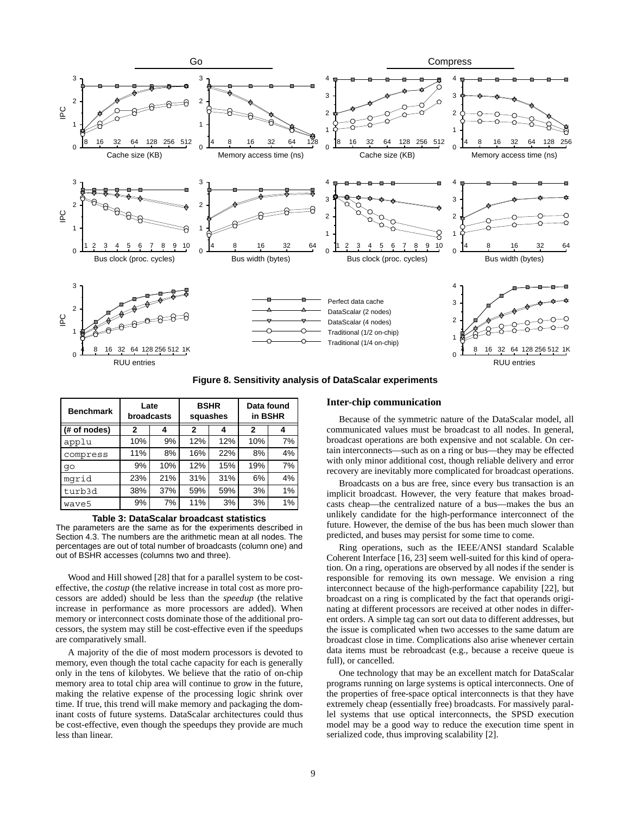

**Figure 8. Sensitivity analysis of DataScalar experiments**

| <b>Benchmark</b> |              | Late<br>broadcasts | <b>BSHR</b>  | squashes | Data found<br>in BSHR |    |  |
|------------------|--------------|--------------------|--------------|----------|-----------------------|----|--|
| (# of nodes)     | $\mathbf{2}$ | 4                  | $\mathbf{2}$ | 4        | $\mathbf{2}$          |    |  |
| applu            | 10%          | 9%                 | 12%          | 12%      | 10%                   | 7% |  |
| compress         | 11%          | 8%                 | 16%          | 22%      | 8%                    | 4% |  |
| go               | 9%           | 10%                | 12%          | 15%      | 19%                   | 7% |  |
| mqrid            | 23%          | 21%                | 31%          | 31%      | 6%                    | 4% |  |
| turb3d           | 38%          | 37%                | 59%          | 59%      | 3%                    | 1% |  |
| wave5            | 9%           | 7%                 | 11%          | 3%       | 3%                    | 1% |  |

#### **Table 3: DataScalar broadcast statistics**

The parameters are the same as for the experiments described in Section 4.3. The numbers are the arithmetic mean at all nodes. The percentages are out of total number of broadcasts (column one) and out of BSHR accesses (columns two and three).

Wood and Hill showed [28] that for a parallel system to be costeffective, the *costup* (the relative increase in total cost as more processors are added) should be less than the *speedup* (the relative increase in performance as more processors are added). When memory or interconnect costs dominate those of the additional processors, the system may still be cost-effective even if the speedups are comparatively small.

A majority of the die of most modern processors is devoted to memory, even though the total cache capacity for each is generally only in the tens of kilobytes. We believe that the ratio of on-chip memory area to total chip area will continue to grow in the future, making the relative expense of the processing logic shrink over time. If true, this trend will make memory and packaging the dominant costs of future systems. DataScalar architectures could thus be cost-effective, even though the speedups they provide are much less than linear.

#### **Inter-chip communication**

Because of the symmetric nature of the DataScalar model, all communicated values must be broadcast to all nodes. In general, broadcast operations are both expensive and not scalable. On certain interconnects—such as on a ring or bus—they may be effected with only minor additional cost, though reliable delivery and error recovery are inevitably more complicated for broadcast operations.

Broadcasts on a bus are free, since every bus transaction is an implicit broadcast. However, the very feature that makes broadcasts cheap—the centralized nature of a bus—makes the bus an unlikely candidate for the high-performance interconnect of the future. However, the demise of the bus has been much slower than predicted, and buses may persist for some time to come.

Ring operations, such as the IEEE/ANSI standard Scalable Coherent Interface [16, 23] seem well-suited for this kind of operation. On a ring, operations are observed by all nodes if the sender is responsible for removing its own message. We envision a ring interconnect because of the high-performance capability [22], but broadcast on a ring is complicated by the fact that operands originating at different processors are received at other nodes in different orders. A simple tag can sort out data to different addresses, but the issue is complicated when two accesses to the same datum are broadcast close in time. Complications also arise whenever certain data items must be rebroadcast (e.g., because a receive queue is full), or cancelled.

One technology that may be an excellent match for DataScalar programs running on large systems is optical interconnects. One of the properties of free-space optical interconnects is that they have extremely cheap (essentially free) broadcasts. For massively parallel systems that use optical interconnects, the SPSD execution model may be a good way to reduce the execution time spent in serialized code, thus improving scalability [2].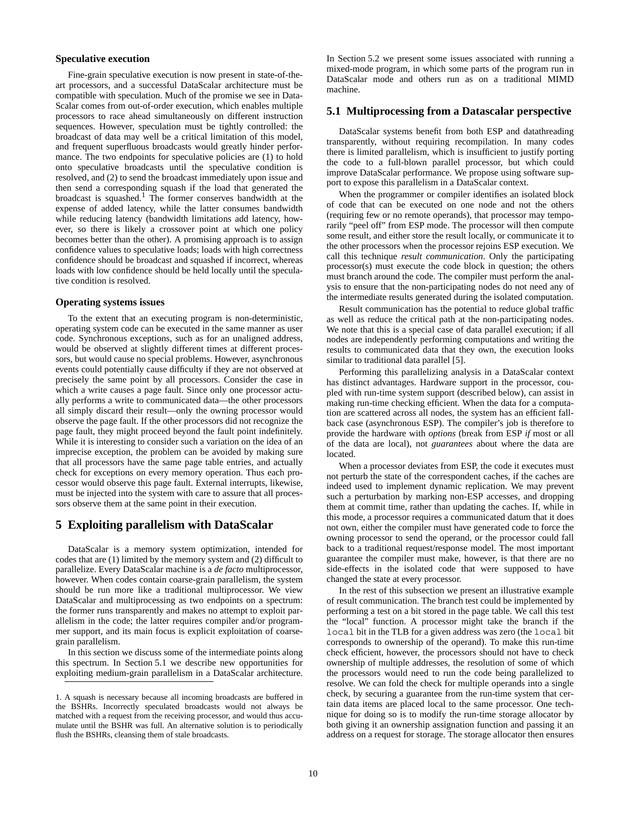#### **Speculative execution**

Fine-grain speculative execution is now present in state-of-theart processors, and a successful DataScalar architecture must be compatible with speculation. Much of the promise we see in Data-Scalar comes from out-of-order execution, which enables multiple processors to race ahead simultaneously on different instruction sequences. However, speculation must be tightly controlled: the broadcast of data may well be a critical limitation of this model, and frequent superfluous broadcasts would greatly hinder performance. The two endpoints for speculative policies are (1) to hold onto speculative broadcasts until the speculative condition is resolved, and (2) to send the broadcast immediately upon issue and then send a corresponding squash if the load that generated the broadcast is squashed.<sup>1</sup> The former conserves bandwidth at the expense of added latency, while the latter consumes bandwidth while reducing latency (bandwidth limitations add latency, however, so there is likely a crossover point at which one policy becomes better than the other). A promising approach is to assign confidence values to speculative loads; loads with high correctness confidence should be broadcast and squashed if incorrect, whereas loads with low confidence should be held locally until the speculative condition is resolved.

# **Operating systems issues**

To the extent that an executing program is non-deterministic, operating system code can be executed in the same manner as user code. Synchronous exceptions, such as for an unaligned address, would be observed at slightly different times at different processors, but would cause no special problems. However, asynchronous events could potentially cause difficulty if they are not observed at precisely the same point by all processors. Consider the case in which a write causes a page fault. Since only one processor actually performs a write to communicated data—the other processors all simply discard their result—only the owning processor would observe the page fault. If the other processors did not recognize the page fault, they might proceed beyond the fault point indefinitely. While it is interesting to consider such a variation on the idea of an imprecise exception, the problem can be avoided by making sure that all processors have the same page table entries, and actually check for exceptions on every memory operation. Thus each processor would observe this page fault. External interrupts, likewise, must be injected into the system with care to assure that all processors observe them at the same point in their execution.

# **5 Exploiting parallelism with DataScalar**

DataScalar is a memory system optimization, intended for codes that are (1) limited by the memory system and (2) difficult to parallelize. Every DataScalar machine is a *de facto* multiprocessor, however. When codes contain coarse-grain parallelism, the system should be run more like a traditional multiprocessor. We view DataScalar and multiprocessing as two endpoints on a spectrum: the former runs transparently and makes no attempt to exploit parallelism in the code; the latter requires compiler and/or programmer support, and its main focus is explicit exploitation of coarsegrain parallelism.

In this section we discuss some of the intermediate points along this spectrum. In Section 5.1 we describe new opportunities for exploiting medium-grain parallelism in a DataScalar architecture.

In Section 5.2 we present some issues associated with running a mixed-mode program, in which some parts of the program run in DataScalar mode and others run as on a traditional MIMD machine.

#### **5.1 Multiprocessing from a Datascalar perspective**

DataScalar systems benefit from both ESP and datathreading transparently, without requiring recompilation. In many codes there is limited parallelism, which is insufficient to justify porting the code to a full-blown parallel processor, but which could improve DataScalar performance. We propose using software support to expose this parallelism in a DataScalar context.

When the programmer or compiler identifies an isolated block of code that can be executed on one node and not the others (requiring few or no remote operands), that processor may temporarily "peel off" from ESP mode. The processor will then compute some result, and either store the result locally, or communicate it to the other processors when the processor rejoins ESP execution. We call this technique *result communication*. Only the participating processor(s) must execute the code block in question; the others must branch around the code. The compiler must perform the analysis to ensure that the non-participating nodes do not need any of the intermediate results generated during the isolated computation.

Result communication has the potential to reduce global traffic as well as reduce the critical path at the non-participating nodes. We note that this is a special case of data parallel execution; if all nodes are independently performing computations and writing the results to communicated data that they own, the execution looks similar to traditional data parallel [5].

Performing this parallelizing analysis in a DataScalar context has distinct advantages. Hardware support in the processor, coupled with run-time system support (described below), can assist in making run-time checking efficient. When the data for a computation are scattered across all nodes, the system has an efficient fallback case (asynchronous ESP). The compiler's job is therefore to provide the hardware with *options* (break from ESP *if* most or all of the data are local), not *guarantees* about where the data are located.

When a processor deviates from ESP, the code it executes must not perturb the state of the correspondent caches, if the caches are indeed used to implement dynamic replication. We may prevent such a perturbation by marking non-ESP accesses, and dropping them at commit time, rather than updating the caches. If, while in this mode, a processor requires a communicated datum that it does not own, either the compiler must have generated code to force the owning processor to send the operand, or the processor could fall back to a traditional request/response model. The most important guarantee the compiler must make, however, is that there are no side-effects in the isolated code that were supposed to have changed the state at every processor.

In the rest of this subsection we present an illustrative example of result communication. The branch test could be implemented by performing a test on a bit stored in the page table. We call this test the "local" function. A processor might take the branch if the local bit in the TLB for a given address was zero (the local bit corresponds to ownership of the operand). To make this run-time check efficient, however, the processors should not have to check ownership of multiple addresses, the resolution of some of which the processors would need to run the code being parallelized to resolve. We can fold the check for multiple operands into a single check, by securing a guarantee from the run-time system that certain data items are placed local to the same processor. One technique for doing so is to modify the run-time storage allocator by both giving it an ownership assignation function and passing it an address on a request for storage. The storage allocator then ensures

<sup>1.</sup> A squash is necessary because all incoming broadcasts are buffered in the BSHRs. Incorrectly speculated broadcasts would not always be matched with a request from the receiving processor, and would thus accumulate until the BSHR was full. An alternative solution is to periodically flush the BSHRs, cleansing them of stale broadcasts.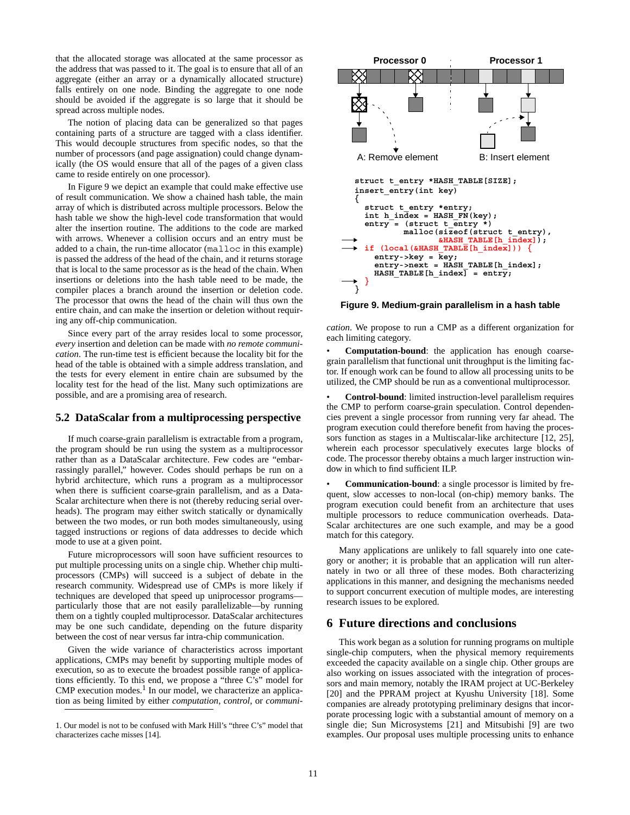that the allocated storage was allocated at the same processor as the address that was passed to it. The goal is to ensure that all of an aggregate (either an array or a dynamically allocated structure) falls entirely on one node. Binding the aggregate to one node should be avoided if the aggregate is so large that it should be spread across multiple nodes.

The notion of placing data can be generalized so that pages containing parts of a structure are tagged with a class identifier. This would decouple structures from specific nodes, so that the number of processors (and page assignation) could change dynamically (the OS would ensure that all of the pages of a given class came to reside entirely on one processor).

In Figure 9 we depict an example that could make effective use of result communication. We show a chained hash table, the main array of which is distributed across multiple processors. Below the hash table we show the high-level code transformation that would alter the insertion routine. The additions to the code are marked with arrows. Whenever a collision occurs and an entry must be added to a chain, the run-time allocator (malloc in this example) is passed the address of the head of the chain, and it returns storage that is local to the same processor as is the head of the chain. When insertions or deletions into the hash table need to be made, the compiler places a branch around the insertion or deletion code. The processor that owns the head of the chain will thus own the entire chain, and can make the insertion or deletion without requiring any off-chip communication.

Since every part of the array resides local to some processor, *every* insertion and deletion can be made with *no remote communication*. The run-time test is efficient because the locality bit for the head of the table is obtained with a simple address translation, and the tests for every element in entire chain are subsumed by the locality test for the head of the list. Many such optimizations are possible, and are a promising area of research.

#### **5.2 DataScalar from a multiprocessing perspective**

If much coarse-grain parallelism is extractable from a program, the program should be run using the system as a multiprocessor rather than as a DataScalar architecture. Few codes are "embarrassingly parallel," however. Codes should perhaps be run on a hybrid architecture, which runs a program as a multiprocessor when there is sufficient coarse-grain parallelism, and as a Data-Scalar architecture when there is not (thereby reducing serial overheads). The program may either switch statically or dynamically between the two modes, or run both modes simultaneously, using tagged instructions or regions of data addresses to decide which mode to use at a given point.

Future microprocessors will soon have sufficient resources to put multiple processing units on a single chip. Whether chip multiprocessors (CMPs) will succeed is a subject of debate in the research community. Widespread use of CMPs is more likely if techniques are developed that speed up uniprocessor programs particularly those that are not easily parallelizable—by running them on a tightly coupled multiprocessor. DataScalar architectures may be one such candidate, depending on the future disparity between the cost of near versus far intra-chip communication.

Given the wide variance of characteristics across important applications, CMPs may benefit by supporting multiple modes of execution, so as to execute the broadest possible range of applications efficiently. To this end, we propose a "three C's" model for  $\text{CMP}\xspace$  execution modes.<sup>1</sup> In our model, we characterize an application as being limited by either *computation*, *control*, or *communi-*



**Figure 9. Medium-grain parallelism in a hash table**

*cation*. We propose to run a CMP as a different organization for each limiting category.

• **Computation-bound**: the application has enough coarsegrain parallelism that functional unit throughput is the limiting factor. If enough work can be found to allow all processing units to be utilized, the CMP should be run as a conventional multiprocessor.

• **Control-bound**: limited instruction-level parallelism requires the CMP to perform coarse-grain speculation. Control dependencies prevent a single processor from running very far ahead. The program execution could therefore benefit from having the processors function as stages in a Multiscalar-like architecture [12, 25], wherein each processor speculatively executes large blocks of code. The processor thereby obtains a much larger instruction window in which to find sufficient ILP.

• **Communication-bound**: a single processor is limited by frequent, slow accesses to non-local (on-chip) memory banks. The program execution could benefit from an architecture that uses multiple processors to reduce communication overheads. Data-Scalar architectures are one such example, and may be a good match for this category.

Many applications are unlikely to fall squarely into one category or another; it is probable that an application will run alternately in two or all three of these modes. Both characterizing applications in this manner, and designing the mechanisms needed to support concurrent execution of multiple modes, are interesting research issues to be explored.

# **6 Future directions and conclusions**

This work began as a solution for running programs on multiple single-chip computers, when the physical memory requirements exceeded the capacity available on a single chip. Other groups are also working on issues associated with the integration of processors and main memory, notably the IRAM project at UC-Berkeley [20] and the PPRAM project at Kyushu University [18]. Some companies are already prototyping preliminary designs that incorporate processing logic with a substantial amount of memory on a single die; Sun Microsystems [21] and Mitsubishi [9] are two examples. Our proposal uses multiple processing units to enhance

<sup>1.</sup> Our model is not to be confused with Mark Hill's "three C's" model that characterizes cache misses [14].